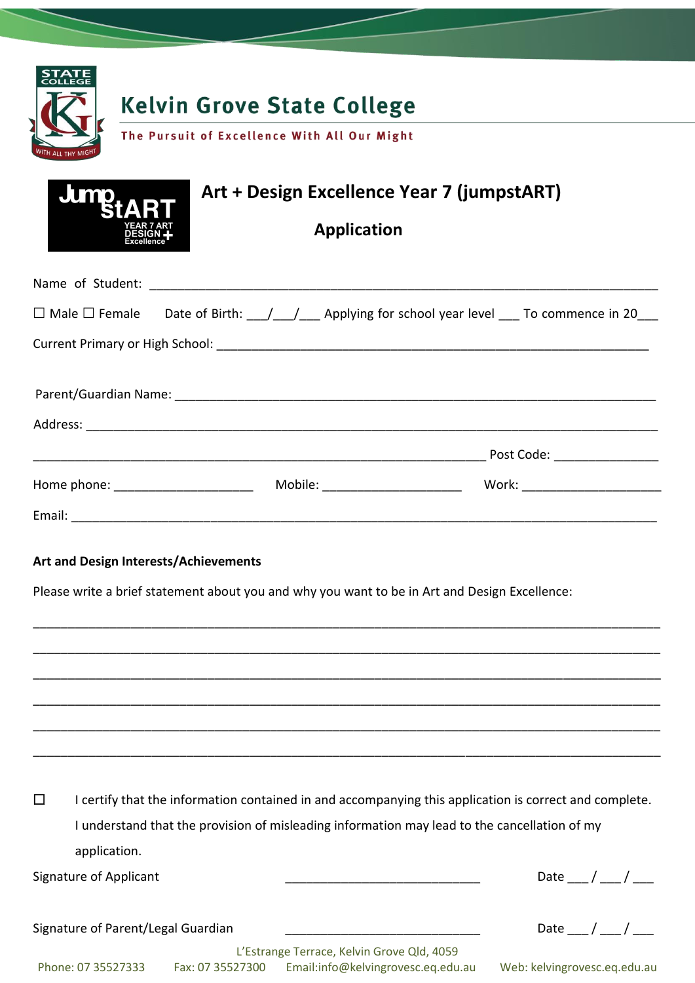

| <b>Jump<sub>tART</sub></b><br><b>YEAR 7 ART</b><br>DESIGN + | Art + Design Excellence Year 7 (jumpstART) |
|-------------------------------------------------------------|--------------------------------------------|
|                                                             | Application                                |

|                                    |  | $\Box$ Male $\Box$ Female Date of Birth: $\angle$ / $\angle$ Applying for school year level $\Box$ To commence in 20 |                                  |
|------------------------------------|--|----------------------------------------------------------------------------------------------------------------------|----------------------------------|
|                                    |  |                                                                                                                      |                                  |
|                                    |  |                                                                                                                      |                                  |
|                                    |  |                                                                                                                      |                                  |
|                                    |  |                                                                                                                      | Post Code: <u>___________</u>    |
| Home phone: ______________________ |  | Mobile: _________________________                                                                                    | Work: __________________________ |
|                                    |  |                                                                                                                      |                                  |

### **Art and Design Interests/Achievements**

Please write a brief statement about you and why you want to be in Art and Design Excellence:

 $\Box$  I certify that the information contained in and accompanying this application is correct and complete. I understand that the provision of misleading information may lead to the cancellation of my application.

\_\_\_\_\_\_\_\_\_\_\_\_\_\_\_\_\_\_\_\_\_\_\_\_\_\_\_\_\_\_\_\_\_\_\_\_\_\_\_\_\_\_\_\_\_\_\_\_\_\_\_\_\_\_\_\_\_\_\_\_\_\_\_\_\_\_\_\_\_\_\_\_\_\_\_\_\_\_\_\_\_\_\_\_\_\_\_\_\_\_

\_\_\_\_\_\_\_\_\_\_\_\_\_\_\_\_\_\_\_\_\_\_\_\_\_\_\_\_\_\_\_\_\_\_\_\_\_\_\_\_\_\_\_\_\_\_\_\_\_\_\_\_\_\_\_\_\_\_\_\_\_\_\_\_\_\_\_\_\_\_\_\_\_\_\_\_\_\_\_\_\_\_\_\_\_\_\_\_\_\_

\_\_\_\_\_\_\_\_\_\_\_\_\_\_\_\_\_\_\_\_\_\_\_\_\_\_\_\_\_\_\_\_\_\_\_\_\_\_\_\_\_\_\_\_\_\_\_\_\_\_\_\_\_\_\_\_\_\_\_\_\_\_\_\_\_\_\_\_\_\_\_\_\_\_\_\_\_\_\_\_\_\_\_\_\_\_\_\_\_\_

\_\_\_\_\_\_\_\_\_\_\_\_\_\_\_\_\_\_\_\_\_\_\_\_\_\_\_\_\_\_\_\_\_\_\_\_\_\_\_\_\_\_\_\_\_\_\_\_\_\_\_\_\_\_\_\_\_\_\_\_\_\_\_\_\_\_\_\_\_\_\_\_\_\_\_\_\_\_\_\_\_\_\_\_\_\_\_\_\_\_

\_\_\_\_\_\_\_\_\_\_\_\_\_\_\_\_\_\_\_\_\_\_\_\_\_\_\_\_\_\_\_\_\_\_\_\_\_\_\_\_\_\_\_\_\_\_\_\_\_\_\_\_\_\_\_\_\_\_\_\_\_\_\_\_\_\_\_\_\_\_\_\_\_\_\_\_\_\_\_\_\_\_\_\_\_\_\_\_\_\_

\_\_\_\_\_\_\_\_\_\_\_\_\_\_\_\_\_\_\_\_\_\_\_\_\_\_\_\_\_\_\_\_\_\_\_\_\_\_\_\_\_\_\_\_\_\_\_\_\_\_\_\_\_\_\_\_\_\_\_\_\_\_\_\_\_\_\_\_\_\_\_\_\_\_\_\_\_\_\_\_\_\_\_\_\_\_\_\_\_\_

Signature of Applicant  $\qquad \qquad \qquad \qquad$ 

Signature of Parent/Legal Guardian  $\frac{1}{2}$   $\frac{1}{2}$   $\frac{1}{2}$  Date  $\frac{1}{2}$  /  $\frac{1}{2}$ 

L'Estrange Terrace, Kelvin Grove Qld, 4059 Phone: 07 35527333 Fax: 07 35527300 Email:info@kelvingrovesc.eq.edu.au Web: kelvingrovesc.eq.edu.au